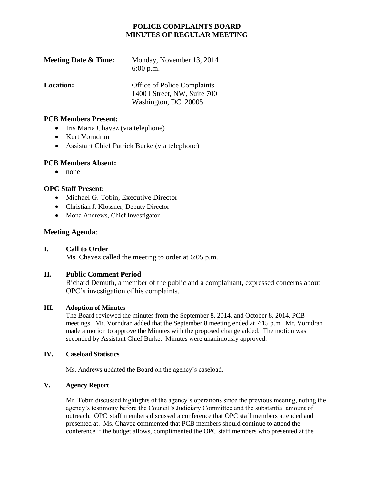# **POLICE COMPLAINTS BOARD MINUTES OF REGULAR MEETING**

| <b>Meeting Date &amp; Time:</b> | Monday, November 13, 2014<br>$6:00$ p.m.                                                   |
|---------------------------------|--------------------------------------------------------------------------------------------|
| <b>Location:</b>                | <b>Office of Police Complaints</b><br>1400 I Street, NW, Suite 700<br>Washington, DC 20005 |

#### **PCB Members Present:**

- Iris Maria Chavez (via telephone)
- Kurt Vorndran
- Assistant Chief Patrick Burke (via telephone)

### **PCB Members Absent:**

 $\bullet$  none

## **OPC Staff Present:**

- Michael G. Tobin, Executive Director
- Christian J. Klossner, Deputy Director
- Mona Andrews, Chief Investigator

## **Meeting Agenda**:

### **I. Call to Order**

Ms. Chavez called the meeting to order at 6:05 p.m.

### **II. Public Comment Period**

Richard Demuth, a member of the public and a complainant, expressed concerns about OPC's investigation of his complaints.

### **III. Adoption of Minutes**

The Board reviewed the minutes from the September 8, 2014, and October 8, 2014, PCB meetings. Mr. Vorndran added that the September 8 meeting ended at 7:15 p.m. Mr. Vorndran made a motion to approve the Minutes with the proposed change added. The motion was seconded by Assistant Chief Burke. Minutes were unanimously approved.

#### **IV. Caseload Statistics**

Ms. Andrews updated the Board on the agency's caseload.

### **V. Agency Report**

Mr. Tobin discussed highlights of the agency's operations since the previous meeting, noting the agency's testimony before the Council's Judiciary Committee and the substantial amount of outreach. OPC staff members discussed a conference that OPC staff members attended and presented at. Ms. Chavez commented that PCB members should continue to attend the conference if the budget allows, complimented the OPC staff members who presented at the